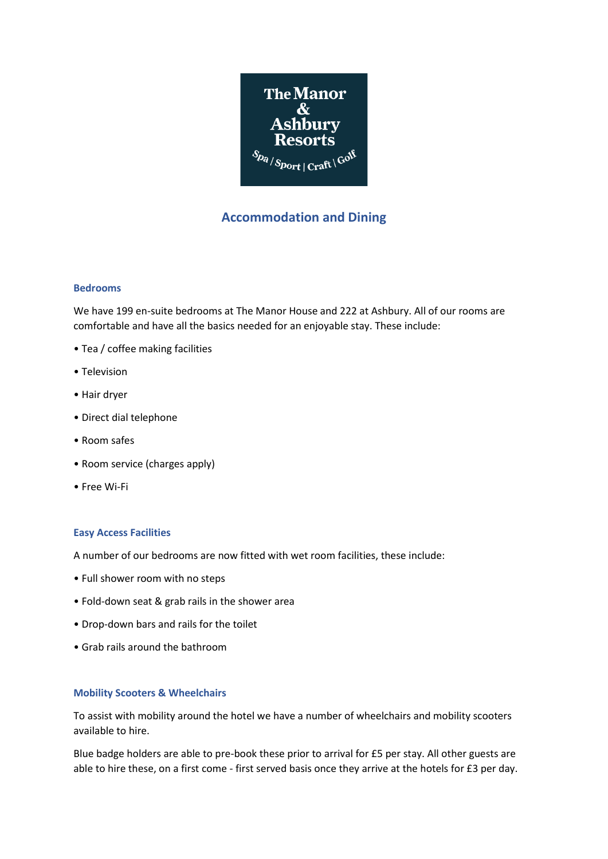

# **Accommodation and Dining**

## **Bedrooms**

We have 199 en-suite bedrooms at The Manor House and 222 at Ashbury. All of our rooms are comfortable and have all the basics needed for an enjoyable stay. These include:

- Tea / coffee making facilities
- Television
- Hair dryer
- Direct dial telephone
- Room safes
- Room service (charges apply)
- Free Wi-Fi

## **Easy Access Facilities**

A number of our bedrooms are now fitted with wet room facilities, these include:

- Full shower room with no steps
- Fold-down seat & grab rails in the shower area
- Drop-down bars and rails for the toilet
- Grab rails around the bathroom

## **Mobility Scooters & Wheelchairs**

To assist with mobility around the hotel we have a number of wheelchairs and mobility scooters available to hire.

Blue badge holders are able to pre-book these prior to arrival for £5 per stay. All other guests are able to hire these, on a first come - first served basis once they arrive at the hotels for £3 per day.